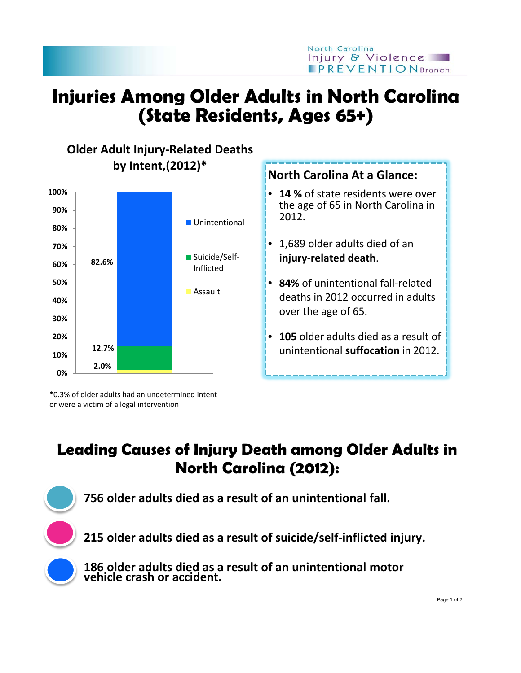

## **Injuries Among Older Adults in North Carolina (State Residents, Ages 65+)**



\*0.3% of older adults had an undetermined intent or were a victim of a legal intervention

## **Leading Causes of Injury Death among Older Adults in North Carolina (2012):**

**756 older adults died as a result of an unintentional fall.**

**215 older adults died as a result of suicide/self-inflicted injury.**

**186 older adults died as a result of an unintentional motor vehicle crash or accident.**